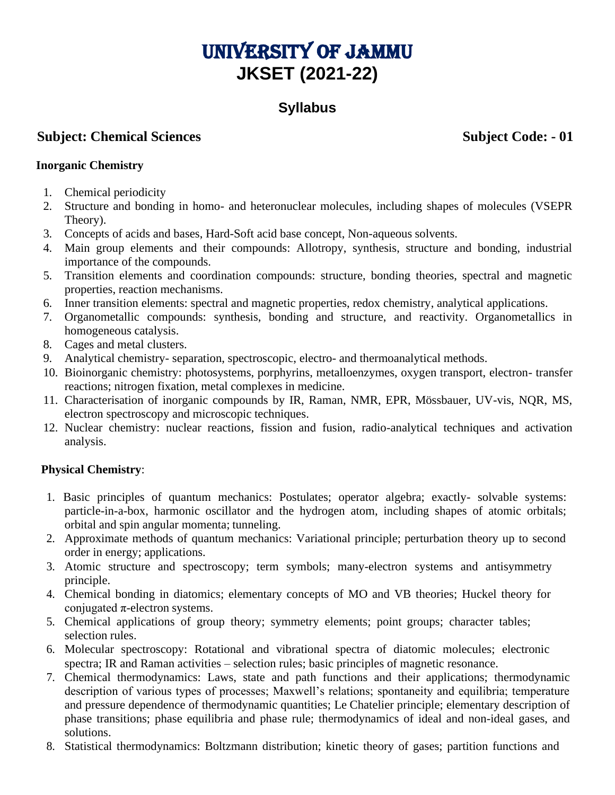# UNIVERSITY OF JAMMU **JKSET (2021-22)**

# **Syllabus**

## **Subject: Chemical Sciences** Subject Code: - 01

#### **Inorganic Chemistry**

- 1. Chemical periodicity
- 2. Structure and bonding in homo- and heteronuclear molecules, including shapes of molecules (VSEPR Theory).
- 3. Concepts of acids and bases, Hard-Soft acid base concept, Non-aqueous solvents.
- 4. Main group elements and their compounds: Allotropy, synthesis, structure and bonding, industrial importance of the compounds.
- 5. Transition elements and coordination compounds: structure, bonding theories, spectral and magnetic properties, reaction mechanisms.
- 6. Inner transition elements: spectral and magnetic properties, redox chemistry, analytical applications.
- 7. Organometallic compounds: synthesis, bonding and structure, and reactivity. Organometallics in homogeneous catalysis.
- 8. Cages and metal clusters.
- 9. Analytical chemistry- separation, spectroscopic, electro- and thermoanalytical methods.
- 10. Bioinorganic chemistry: photosystems, porphyrins, metalloenzymes, oxygen transport, electron- transfer reactions; nitrogen fixation, metal complexes in medicine.
- 11. Characterisation of inorganic compounds by IR, Raman, NMR, EPR, Mössbauer, UV-vis, NQR, MS, electron spectroscopy and microscopic techniques.
- 12. Nuclear chemistry: nuclear reactions, fission and fusion, radio-analytical techniques and activation analysis.

#### **Physical Chemistry**:

- 1. Basic principles of quantum mechanics: Postulates; operator algebra; exactly- solvable systems: particle-in-a-box, harmonic oscillator and the hydrogen atom, including shapes of atomic orbitals; orbital and spin angular momenta; tunneling.
- 2. Approximate methods of quantum mechanics: Variational principle; perturbation theory up to second order in energy; applications.
- 3. Atomic structure and spectroscopy; term symbols; many-electron systems and antisymmetry principle.
- 4. Chemical bonding in diatomics; elementary concepts of MO and VB theories; Huckel theory for conjugated  $\pi$ -electron systems.
- 5. Chemical applications of group theory; symmetry elements; point groups; character tables; selection rules.
- 6. Molecular spectroscopy: Rotational and vibrational spectra of diatomic molecules; electronic spectra; IR and Raman activities – selection rules; basic principles of magnetic resonance.
- 7. Chemical thermodynamics: Laws, state and path functions and their applications; thermodynamic description of various types of processes; Maxwell's relations; spontaneity and equilibria; temperature and pressure dependence of thermodynamic quantities; Le Chatelier principle; elementary description of phase transitions; phase equilibria and phase rule; thermodynamics of ideal and non-ideal gases, and solutions.
- 8. Statistical thermodynamics: Boltzmann distribution; kinetic theory of gases; partition functions and